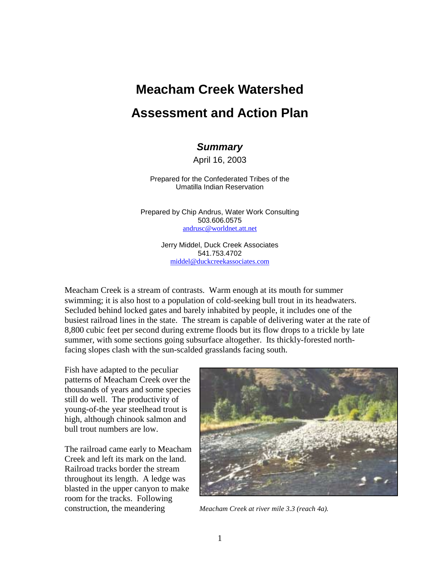# **Meacham Creek Watershed Assessment and Action Plan**

# *Summary*

April 16, 2003

Prepared for the Confederated Tribes of the Umatilla Indian Reservation

Prepared by Chip Andrus, Water Work Consulting 503.606.0575 andrusc@worldnet.att.net

> Jerry Middel, Duck Creek Associates 541.753.4702 middel@duckcreekassociates.com

Meacham Creek is a stream of contrasts. Warm enough at its mouth for summer swimming; it is also host to a population of cold-seeking bull trout in its headwaters. Secluded behind locked gates and barely inhabited by people, it includes one of the busiest railroad lines in the state. The stream is capable of delivering water at the rate of 8,800 cubic feet per second during extreme floods but its flow drops to a trickle by late summer, with some sections going subsurface altogether. Its thickly-forested northfacing slopes clash with the sun-scalded grasslands facing south.

Fish have adapted to the peculiar patterns of Meacham Creek over the thousands of years and some species still do well. The productivity of young-of-the year steelhead trout is high, although chinook salmon and bull trout numbers are low.

The railroad came early to Meacham Creek and left its mark on the land. Railroad tracks border the stream throughout its length. A ledge was blasted in the upper canyon to make room for the tracks. Following construction, the meandering *Meacham Creek at river mile 3.3 (reach 4a).*

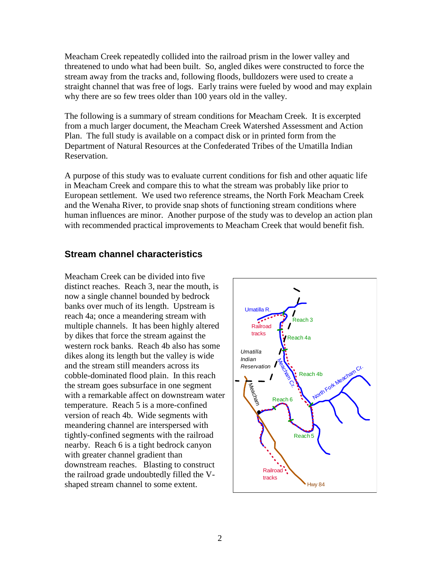Meacham Creek repeatedly collided into the railroad prism in the lower valley and threatened to undo what had been built. So, angled dikes were constructed to force the stream away from the tracks and, following floods, bulldozers were used to create a straight channel that was free of logs. Early trains were fueled by wood and may explain why there are so few trees older than 100 years old in the valley.

The following is a summary of stream conditions for Meacham Creek. It is excerpted from a much larger document, the Meacham Creek Watershed Assessment and Action Plan. The full study is available on a compact disk or in printed form from the Department of Natural Resources at the Confederated Tribes of the Umatilla Indian Reservation.

A purpose of this study was to evaluate current conditions for fish and other aquatic life in Meacham Creek and compare this to what the stream was probably like prior to European settlement. We used two reference streams, the North Fork Meacham Creek and the Wenaha River, to provide snap shots of functioning stream conditions where human influences are minor. Another purpose of the study was to develop an action plan with recommended practical improvements to Meacham Creek that would benefit fish.

### **Stream channel characteristics**

Meacham Creek can be divided into five distinct reaches. Reach 3, near the mouth, is now a single channel bounded by bedrock banks over much of its length. Upstream is reach 4a; once a meandering stream with multiple channels. It has been highly altered by dikes that force the stream against the western rock banks. Reach 4b also has some dikes along its length but the valley is wide and the stream still meanders across its cobble-dominated flood plain. In this reach the stream goes subsurface in one segment with a remarkable affect on downstream water temperature. Reach 5 is a more-confined version of reach 4b. Wide segments with meandering channel are interspersed with tightly-confined segments with the railroad nearby. Reach 6 is a tight bedrock canyon with greater channel gradient than downstream reaches. Blasting to construct the railroad grade undoubtedly filled the Vshaped stream channel to some extent.

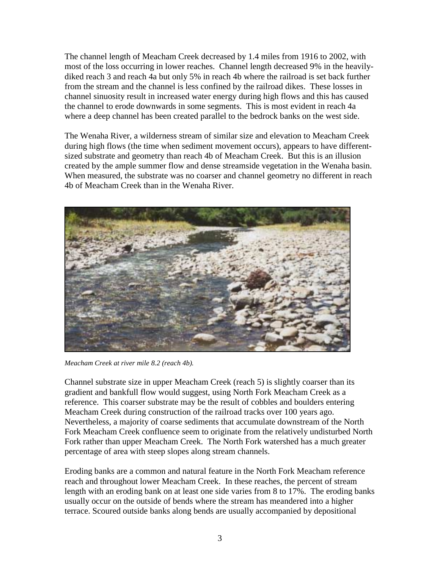The channel length of Meacham Creek decreased by 1.4 miles from 1916 to 2002, with most of the loss occurring in lower reaches. Channel length decreased 9% in the heavilydiked reach 3 and reach 4a but only 5% in reach 4b where the railroad is set back further from the stream and the channel is less confined by the railroad dikes. These losses in channel sinuosity result in increased water energy during high flows and this has caused the channel to erode downwards in some segments. This is most evident in reach 4a where a deep channel has been created parallel to the bedrock banks on the west side.

The Wenaha River, a wilderness stream of similar size and elevation to Meacham Creek during high flows (the time when sediment movement occurs), appears to have differentsized substrate and geometry than reach 4b of Meacham Creek. But this is an illusion created by the ample summer flow and dense streamside vegetation in the Wenaha basin. When measured, the substrate was no coarser and channel geometry no different in reach 4b of Meacham Creek than in the Wenaha River.



*Meacham Creek at river mile 8.2 (reach 4b).* 

Channel substrate size in upper Meacham Creek (reach 5) is slightly coarser than its gradient and bankfull flow would suggest, using North Fork Meacham Creek as a reference. This coarser substrate may be the result of cobbles and boulders entering Meacham Creek during construction of the railroad tracks over 100 years ago. Nevertheless, a majority of coarse sediments that accumulate downstream of the North Fork Meacham Creek confluence seem to originate from the relatively undisturbed North Fork rather than upper Meacham Creek. The North Fork watershed has a much greater percentage of area with steep slopes along stream channels.

Eroding banks are a common and natural feature in the North Fork Meacham reference reach and throughout lower Meacham Creek. In these reaches, the percent of stream length with an eroding bank on at least one side varies from 8 to 17%. The eroding banks usually occur on the outside of bends where the stream has meandered into a higher terrace. Scoured outside banks along bends are usually accompanied by depositional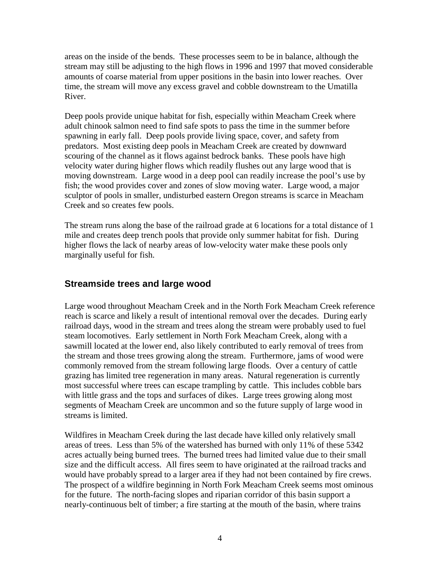areas on the inside of the bends. These processes seem to be in balance, although the stream may still be adjusting to the high flows in 1996 and 1997 that moved considerable amounts of coarse material from upper positions in the basin into lower reaches. Over time, the stream will move any excess gravel and cobble downstream to the Umatilla River.

Deep pools provide unique habitat for fish, especially within Meacham Creek where adult chinook salmon need to find safe spots to pass the time in the summer before spawning in early fall. Deep pools provide living space, cover, and safety from predators. Most existing deep pools in Meacham Creek are created by downward scouring of the channel as it flows against bedrock banks. These pools have high velocity water during higher flows which readily flushes out any large wood that is moving downstream. Large wood in a deep pool can readily increase the pool's use by fish; the wood provides cover and zones of slow moving water. Large wood, a major sculptor of pools in smaller, undisturbed eastern Oregon streams is scarce in Meacham Creek and so creates few pools.

The stream runs along the base of the railroad grade at 6 locations for a total distance of 1 mile and creates deep trench pools that provide only summer habitat for fish. During higher flows the lack of nearby areas of low-velocity water make these pools only marginally useful for fish.

# **Streamside trees and large wood**

Large wood throughout Meacham Creek and in the North Fork Meacham Creek reference reach is scarce and likely a result of intentional removal over the decades. During early railroad days, wood in the stream and trees along the stream were probably used to fuel steam locomotives. Early settlement in North Fork Meacham Creek, along with a sawmill located at the lower end, also likely contributed to early removal of trees from the stream and those trees growing along the stream. Furthermore, jams of wood were commonly removed from the stream following large floods. Over a century of cattle grazing has limited tree regeneration in many areas. Natural regeneration is currently most successful where trees can escape trampling by cattle. This includes cobble bars with little grass and the tops and surfaces of dikes. Large trees growing along most segments of Meacham Creek are uncommon and so the future supply of large wood in streams is limited.

Wildfires in Meacham Creek during the last decade have killed only relatively small areas of trees. Less than 5% of the watershed has burned with only 11% of these 5342 acres actually being burned trees. The burned trees had limited value due to their small size and the difficult access. All fires seem to have originated at the railroad tracks and would have probably spread to a larger area if they had not been contained by fire crews. The prospect of a wildfire beginning in North Fork Meacham Creek seems most ominous for the future. The north-facing slopes and riparian corridor of this basin support a nearly-continuous belt of timber; a fire starting at the mouth of the basin, where trains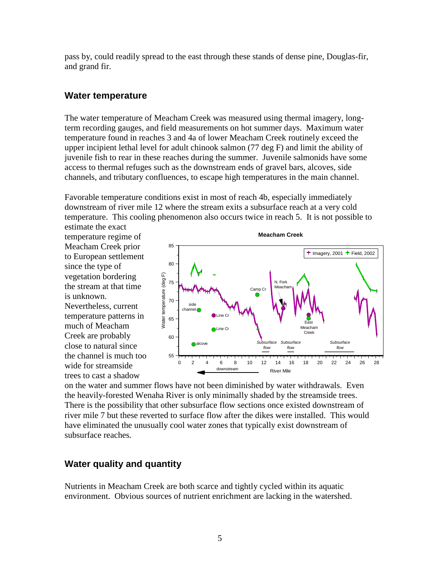pass by, could readily spread to the east through these stands of dense pine, Douglas-fir, and grand fir.

## **Water temperature**

The water temperature of Meacham Creek was measured using thermal imagery, longterm recording gauges, and field measurements on hot summer days. Maximum water temperature found in reaches 3 and 4a of lower Meacham Creek routinely exceed the upper incipient lethal level for adult chinook salmon (77 deg F) and limit the ability of juvenile fish to rear in these reaches during the summer. Juvenile salmonids have some access to thermal refuges such as the downstream ends of gravel bars, alcoves, side channels, and tributary confluences, to escape high temperatures in the main channel.

Favorable temperature conditions exist in most of reach 4b, especially immediately downstream of river mile 12 where the stream exits a subsurface reach at a very cold temperature. This cooling phenomenon also occurs twice in reach 5. It is not possible to

estimate the exact temperature regime of Meacham Creek prior to European settlement since the type of vegetation bordering the stream at that time is unknown. Nevertheless, current temperature patterns in much of Meacham Creek are probably close to natural since the channel is much too wide for streamside trees to cast a shadow



on the water and summer flows have not been diminished by water withdrawals. Even the heavily-forested Wenaha River is only minimally shaded by the streamside trees. There is the possibility that other subsurface flow sections once existed downstream of river mile 7 but these reverted to surface flow after the dikes were installed. This would have eliminated the unusually cool water zones that typically exist downstream of subsurface reaches.

# **Water quality and quantity**

Nutrients in Meacham Creek are both scarce and tightly cycled within its aquatic environment. Obvious sources of nutrient enrichment are lacking in the watershed.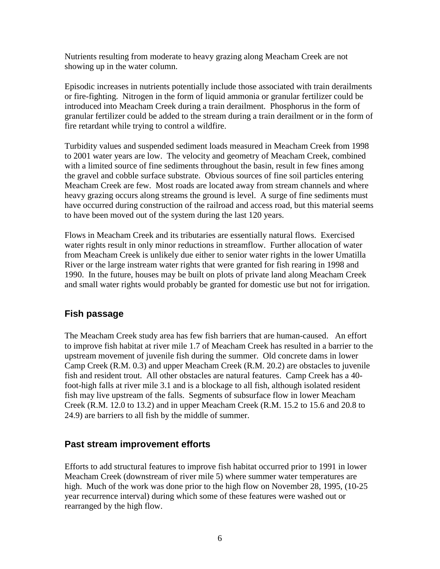Nutrients resulting from moderate to heavy grazing along Meacham Creek are not showing up in the water column.

Episodic increases in nutrients potentially include those associated with train derailments or fire-fighting. Nitrogen in the form of liquid ammonia or granular fertilizer could be introduced into Meacham Creek during a train derailment. Phosphorus in the form of granular fertilizer could be added to the stream during a train derailment or in the form of fire retardant while trying to control a wildfire.

Turbidity values and suspended sediment loads measured in Meacham Creek from 1998 to 2001 water years are low. The velocity and geometry of Meacham Creek, combined with a limited source of fine sediments throughout the basin, result in few fines among the gravel and cobble surface substrate. Obvious sources of fine soil particles entering Meacham Creek are few. Most roads are located away from stream channels and where heavy grazing occurs along streams the ground is level. A surge of fine sediments must have occurred during construction of the railroad and access road, but this material seems to have been moved out of the system during the last 120 years.

Flows in Meacham Creek and its tributaries are essentially natural flows. Exercised water rights result in only minor reductions in streamflow. Further allocation of water from Meacham Creek is unlikely due either to senior water rights in the lower Umatilla River or the large instream water rights that were granted for fish rearing in 1998 and 1990. In the future, houses may be built on plots of private land along Meacham Creek and small water rights would probably be granted for domestic use but not for irrigation.

## **Fish passage**

The Meacham Creek study area has few fish barriers that are human-caused. An effort to improve fish habitat at river mile 1.7 of Meacham Creek has resulted in a barrier to the upstream movement of juvenile fish during the summer. Old concrete dams in lower Camp Creek (R.M. 0.3) and upper Meacham Creek (R.M. 20.2) are obstacles to juvenile fish and resident trout. All other obstacles are natural features. Camp Creek has a 40 foot-high falls at river mile 3.1 and is a blockage to all fish, although isolated resident fish may live upstream of the falls. Segments of subsurface flow in lower Meacham Creek (R.M. 12.0 to 13.2) and in upper Meacham Creek (R.M. 15.2 to 15.6 and 20.8 to 24.9) are barriers to all fish by the middle of summer.

# **Past stream improvement efforts**

Efforts to add structural features to improve fish habitat occurred prior to 1991 in lower Meacham Creek (downstream of river mile 5) where summer water temperatures are high. Much of the work was done prior to the high flow on November 28, 1995, (10-25 year recurrence interval) during which some of these features were washed out or rearranged by the high flow.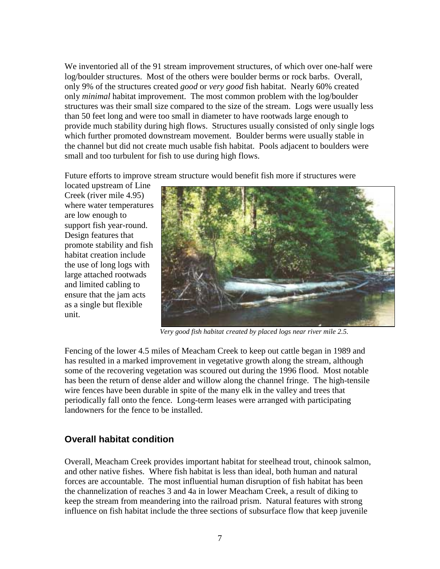We inventoried all of the 91 stream improvement structures, of which over one-half were log/boulder structures. Most of the others were boulder berms or rock barbs. Overall, only 9% of the structures created *good* or *very good* fish habitat. Nearly 60% created only *minimal* habitat improvement. The most common problem with the log/boulder structures was their small size compared to the size of the stream. Logs were usually less than 50 feet long and were too small in diameter to have rootwads large enough to provide much stability during high flows. Structures usually consisted of only single logs which further promoted downstream movement. Boulder berms were usually stable in the channel but did not create much usable fish habitat. Pools adjacent to boulders were small and too turbulent for fish to use during high flows.

Future efforts to improve stream structure would benefit fish more if structures were

located upstream of Line Creek (river mile 4.95) where water temperatures are low enough to support fish year-round. Design features that promote stability and fish habitat creation include the use of long logs with large attached rootwads and limited cabling to ensure that the jam acts as a single but flexible unit.



 *Very good fish habitat created by placed logs near river mile 2.5.*

Fencing of the lower 4.5 miles of Meacham Creek to keep out cattle began in 1989 and has resulted in a marked improvement in vegetative growth along the stream, although some of the recovering vegetation was scoured out during the 1996 flood. Most notable has been the return of dense alder and willow along the channel fringe. The high-tensile wire fences have been durable in spite of the many elk in the valley and trees that periodically fall onto the fence. Long-term leases were arranged with participating landowners for the fence to be installed.

## **Overall habitat condition**

Overall, Meacham Creek provides important habitat for steelhead trout, chinook salmon, and other native fishes. Where fish habitat is less than ideal, both human and natural forces are accountable. The most influential human disruption of fish habitat has been the channelization of reaches 3 and 4a in lower Meacham Creek, a result of diking to keep the stream from meandering into the railroad prism. Natural features with strong influence on fish habitat include the three sections of subsurface flow that keep juvenile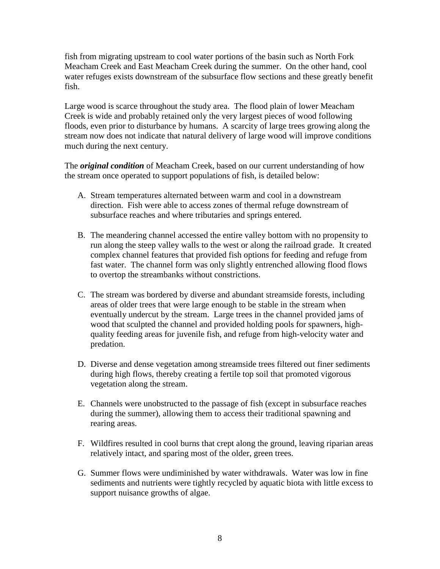fish from migrating upstream to cool water portions of the basin such as North Fork Meacham Creek and East Meacham Creek during the summer. On the other hand, cool water refuges exists downstream of the subsurface flow sections and these greatly benefit fish.

Large wood is scarce throughout the study area. The flood plain of lower Meacham Creek is wide and probably retained only the very largest pieces of wood following floods, even prior to disturbance by humans. A scarcity of large trees growing along the stream now does not indicate that natural delivery of large wood will improve conditions much during the next century.

The *original condition* of Meacham Creek, based on our current understanding of how the stream once operated to support populations of fish, is detailed below:

- A. Stream temperatures alternated between warm and cool in a downstream direction. Fish were able to access zones of thermal refuge downstream of subsurface reaches and where tributaries and springs entered.
- B. The meandering channel accessed the entire valley bottom with no propensity to run along the steep valley walls to the west or along the railroad grade. It created complex channel features that provided fish options for feeding and refuge from fast water. The channel form was only slightly entrenched allowing flood flows to overtop the streambanks without constrictions.
- C. The stream was bordered by diverse and abundant streamside forests, including areas of older trees that were large enough to be stable in the stream when eventually undercut by the stream. Large trees in the channel provided jams of wood that sculpted the channel and provided holding pools for spawners, highquality feeding areas for juvenile fish, and refuge from high-velocity water and predation.
- D. Diverse and dense vegetation among streamside trees filtered out finer sediments during high flows, thereby creating a fertile top soil that promoted vigorous vegetation along the stream.
- E. Channels were unobstructed to the passage of fish (except in subsurface reaches during the summer), allowing them to access their traditional spawning and rearing areas.
- F. Wildfires resulted in cool burns that crept along the ground, leaving riparian areas relatively intact, and sparing most of the older, green trees.
- G. Summer flows were undiminished by water withdrawals. Water was low in fine sediments and nutrients were tightly recycled by aquatic biota with little excess to support nuisance growths of algae.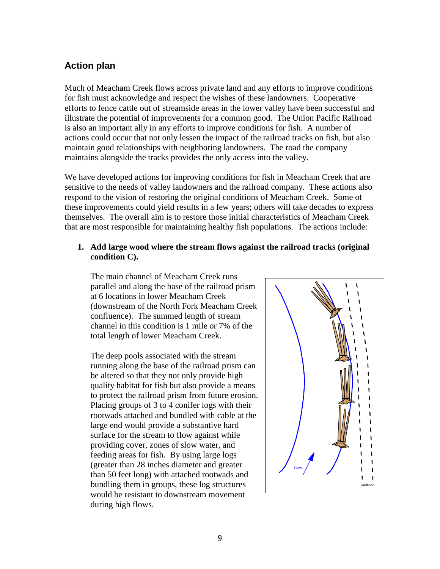# **Action plan**

Much of Meacham Creek flows across private land and any efforts to improve conditions for fish must acknowledge and respect the wishes of these landowners. Cooperative efforts to fence cattle out of streamside areas in the lower valley have been successful and illustrate the potential of improvements for a common good. The Union Pacific Railroad is also an important ally in any efforts to improve conditions for fish. A number of actions could occur that not only lessen the impact of the railroad tracks on fish, but also maintain good relationships with neighboring landowners. The road the company maintains alongside the tracks provides the only access into the valley.

We have developed actions for improving conditions for fish in Meacham Creek that are sensitive to the needs of valley landowners and the railroad company. These actions also respond to the vision of restoring the original conditions of Meacham Creek. Some of these improvements could yield results in a few years; others will take decades to express themselves. The overall aim is to restore those initial characteristics of Meacham Creek that are most responsible for maintaining healthy fish populations. The actions include:

#### **1. Add large wood where the stream flows against the railroad tracks (original condition C).**

The main channel of Meacham Creek runs parallel and along the base of the railroad prism at 6 locations in lower Meacham Creek (downstream of the North Fork Meacham Creek confluence). The summed length of stream channel in this condition is 1 mile or 7% of the total length of lower Meacham Creek.

The deep pools associated with the stream running along the base of the railroad prism can be altered so that they not only provide high quality habitat for fish but also provide a means to protect the railroad prism from future erosion. Placing groups of 3 to 4 conifer logs with their rootwads attached and bundled with cable at the large end would provide a substantive hard surface for the stream to flow against while providing cover, zones of slow water, and feeding areas for fish. By using large logs (greater than 28 inches diameter and greater than 50 feet long) with attached rootwads and bundling them in groups, these log structures would be resistant to downstream movement during high flows.

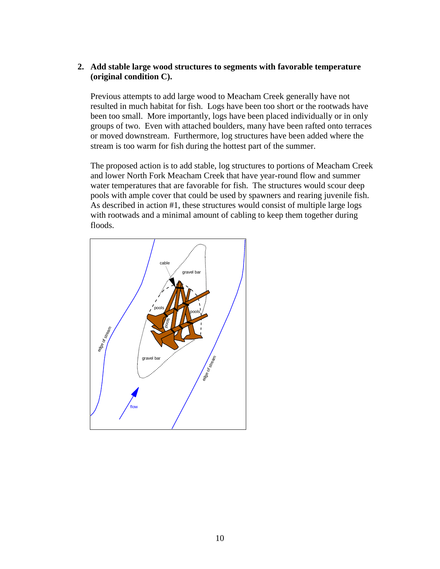#### **2. Add stable large wood structures to segments with favorable temperature (original condition C).**

Previous attempts to add large wood to Meacham Creek generally have not resulted in much habitat for fish. Logs have been too short or the rootwads have been too small. More importantly, logs have been placed individually or in only groups of two. Even with attached boulders, many have been rafted onto terraces or moved downstream. Furthermore, log structures have been added where the stream is too warm for fish during the hottest part of the summer.

The proposed action is to add stable, log structures to portions of Meacham Creek and lower North Fork Meacham Creek that have year-round flow and summer water temperatures that are favorable for fish. The structures would scour deep pools with ample cover that could be used by spawners and rearing juvenile fish. As described in action #1, these structures would consist of multiple large logs with rootwads and a minimal amount of cabling to keep them together during floods.

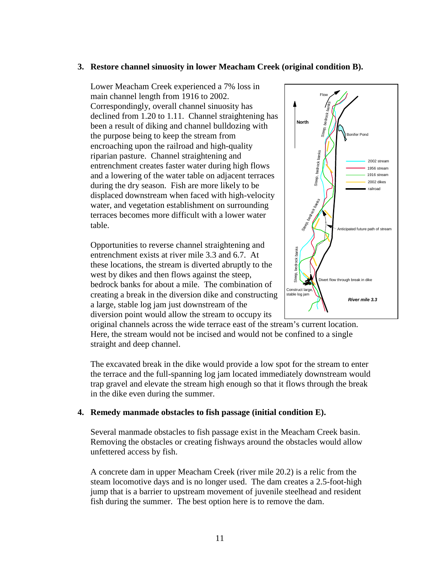#### **3. Restore channel sinuosity in lower Meacham Creek (original condition B).**

Lower Meacham Creek experienced a 7% loss in main channel length from 1916 to 2002. Correspondingly, overall channel sinuosity has declined from 1.20 to 1.11. Channel straightening has been a result of diking and channel bulldozing with the purpose being to keep the stream from encroaching upon the railroad and high-quality riparian pasture. Channel straightening and entrenchment creates faster water during high flows and a lowering of the water table on adjacent terraces during the dry season. Fish are more likely to be displaced downstream when faced with high-velocity water, and vegetation establishment on surrounding terraces becomes more difficult with a lower water table.

Opportunities to reverse channel straightening and entrenchment exists at river mile 3.3 and 6.7. At these locations, the stream is diverted abruptly to the west by dikes and then flows against the steep, bedrock banks for about a mile. The combination of creating a break in the diversion dike and constructing a large, stable log jam just downstream of the diversion point would allow the stream to occupy its



original channels across the wide terrace east of the stream's current location. Here, the stream would not be incised and would not be confined to a single straight and deep channel.

The excavated break in the dike would provide a low spot for the stream to enter the terrace and the full-spanning log jam located immediately downstream would trap gravel and elevate the stream high enough so that it flows through the break in the dike even during the summer.

#### **4. Remedy manmade obstacles to fish passage (initial condition E).**

Several manmade obstacles to fish passage exist in the Meacham Creek basin. Removing the obstacles or creating fishways around the obstacles would allow unfettered access by fish.

A concrete dam in upper Meacham Creek (river mile 20.2) is a relic from the steam locomotive days and is no longer used. The dam creates a 2.5-foot-high jump that is a barrier to upstream movement of juvenile steelhead and resident fish during the summer. The best option here is to remove the dam.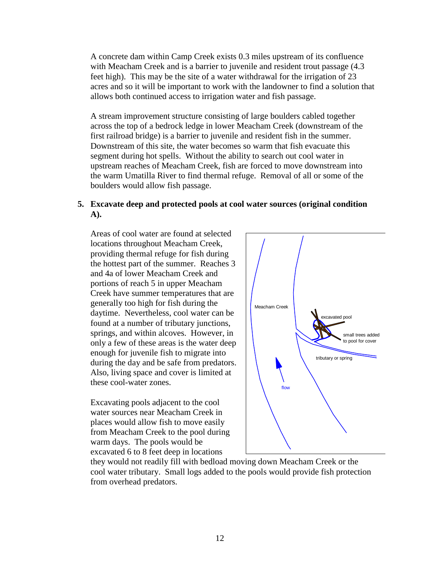A concrete dam within Camp Creek exists 0.3 miles upstream of its confluence with Meacham Creek and is a barrier to juvenile and resident trout passage  $(4.3)$ feet high). This may be the site of a water withdrawal for the irrigation of 23 acres and so it will be important to work with the landowner to find a solution that allows both continued access to irrigation water and fish passage.

A stream improvement structure consisting of large boulders cabled together across the top of a bedrock ledge in lower Meacham Creek (downstream of the first railroad bridge) is a barrier to juvenile and resident fish in the summer. Downstream of this site, the water becomes so warm that fish evacuate this segment during hot spells. Without the ability to search out cool water in upstream reaches of Meacham Creek, fish are forced to move downstream into the warm Umatilla River to find thermal refuge. Removal of all or some of the boulders would allow fish passage.

#### **5. Excavate deep and protected pools at cool water sources (original condition A).**

Areas of cool water are found at selected locations throughout Meacham Creek, providing thermal refuge for fish during the hottest part of the summer. Reaches 3 and 4a of lower Meacham Creek and portions of reach 5 in upper Meacham Creek have summer temperatures that are generally too high for fish during the daytime. Nevertheless, cool water can be found at a number of tributary junctions, springs, and within alcoves. However, in only a few of these areas is the water deep enough for juvenile fish to migrate into during the day and be safe from predators. Also, living space and cover is limited at these cool-water zones.

Excavating pools adjacent to the cool water sources near Meacham Creek in places would allow fish to move easily from Meacham Creek to the pool during warm days. The pools would be excavated 6 to 8 feet deep in locations



they would not readily fill with bedload moving down Meacham Creek or the cool water tributary. Small logs added to the pools would provide fish protection from overhead predators.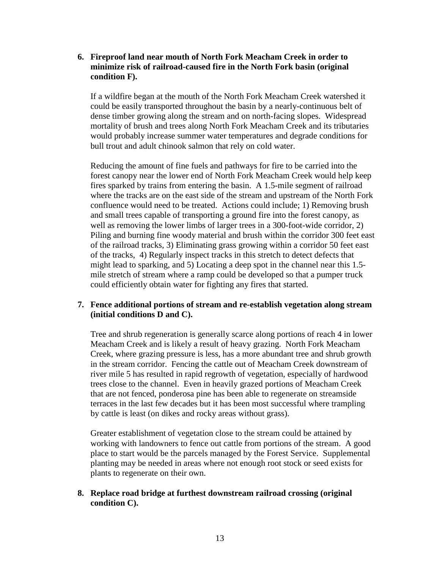**6. Fireproof land near mouth of North Fork Meacham Creek in order to minimize risk of railroad-caused fire in the North Fork basin (original condition F).** 

If a wildfire began at the mouth of the North Fork Meacham Creek watershed it could be easily transported throughout the basin by a nearly-continuous belt of dense timber growing along the stream and on north-facing slopes. Widespread mortality of brush and trees along North Fork Meacham Creek and its tributaries would probably increase summer water temperatures and degrade conditions for bull trout and adult chinook salmon that rely on cold water.

Reducing the amount of fine fuels and pathways for fire to be carried into the forest canopy near the lower end of North Fork Meacham Creek would help keep fires sparked by trains from entering the basin. A 1.5-mile segment of railroad where the tracks are on the east side of the stream and upstream of the North Fork confluence would need to be treated. Actions could include; 1) Removing brush and small trees capable of transporting a ground fire into the forest canopy, as well as removing the lower limbs of larger trees in a 300-foot-wide corridor, 2) Piling and burning fine woody material and brush within the corridor 300 feet east of the railroad tracks, 3) Eliminating grass growing within a corridor 50 feet east of the tracks, 4) Regularly inspect tracks in this stretch to detect defects that might lead to sparking, and 5) Locating a deep spot in the channel near this 1.5 mile stretch of stream where a ramp could be developed so that a pumper truck could efficiently obtain water for fighting any fires that started.

#### **7. Fence additional portions of stream and re-establish vegetation along stream (initial conditions D and C).**

Tree and shrub regeneration is generally scarce along portions of reach 4 in lower Meacham Creek and is likely a result of heavy grazing. North Fork Meacham Creek, where grazing pressure is less, has a more abundant tree and shrub growth in the stream corridor. Fencing the cattle out of Meacham Creek downstream of river mile 5 has resulted in rapid regrowth of vegetation, especially of hardwood trees close to the channel. Even in heavily grazed portions of Meacham Creek that are not fenced, ponderosa pine has been able to regenerate on streamside terraces in the last few decades but it has been most successful where trampling by cattle is least (on dikes and rocky areas without grass).

Greater establishment of vegetation close to the stream could be attained by working with landowners to fence out cattle from portions of the stream. A good place to start would be the parcels managed by the Forest Service. Supplemental planting may be needed in areas where not enough root stock or seed exists for plants to regenerate on their own.

### **8. Replace road bridge at furthest downstream railroad crossing (original condition C).**